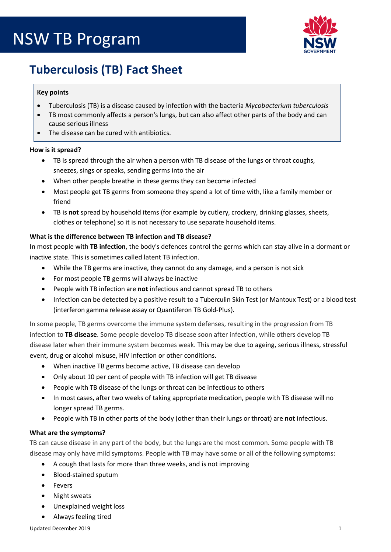

# **Tuberculosis (TB) Fact Sheet**

## **Key points**

- Tuberculosis (TB) is a disease caused by infection with the bacteria *Mycobacterium tuberculosis*
- TB most commonly affects a person's lungs, but can also affect other parts of the body and can cause serious illness
- The disease can be cured with antibiotics.

### **How is it spread?**

- TB is spread through the air when a person with TB disease of the lungs or throat coughs, sneezes, sings or speaks, sending germs into the air
- When other people breathe in these germs they can become infected
- Most people get TB germs from someone they spend a lot of time with, like a family member or friend
- TB is **not** spread by household items (for example by cutlery, crockery, drinking glasses, sheets, clothes or telephone) so it is not necessary to use separate household items.

## **What is the difference between TB infection and TB disease?**

In most people with **TB infection**, the body's defences control the germs which can stay alive in a dormant or inactive state. This is sometimes called latent TB infection.

- While the TB germs are inactive, they cannot do any damage, and a person is not sick
- For most people TB germs will always be inactive
- People with TB infection are **not** infectious and cannot spread TB to others
- Infection can be detected by a positive result to a Tuberculin Skin Test (or Mantoux Test) or a blood test (interferon gamma release assay or Quantiferon TB Gold-Plus).

In some people, TB germs overcome the immune system defenses, resulting in the progression from TB infection to **TB disease**. Some people develop TB disease soon after infection, while others develop TB disease later when their immune system becomes weak. This may be due to ageing, serious illness, stressful event, drug or alcohol misuse, HIV infection or other conditions.

- When inactive TB germs become active, TB disease can develop
- Only about 10 per cent of people with TB infection will get TB disease
- People with TB disease of the lungs or throat can be infectious to others
- In most cases, after two weeks of taking appropriate medication, people with TB disease will no longer spread TB germs.
- People with TB in other parts of the body (other than their lungs or throat) are **not** infectious.

### **What are the symptoms?**

TB can cause disease in any part of the body, but the lungs are the most common. Some people with TB disease may only have mild symptoms. People with TB may have some or all of the following symptoms:

- A cough that lasts for more than three weeks, and is not improving
- Blood-stained sputum
- Fevers
- Night sweats
- Unexplained weight loss
- Always feeling tired